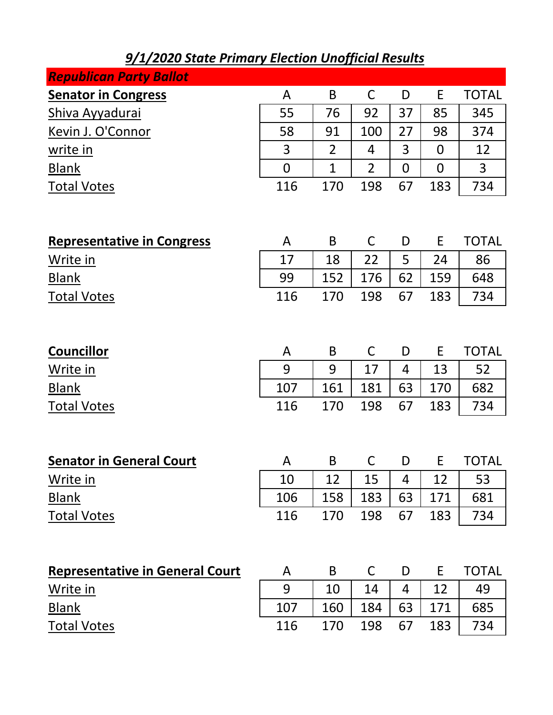| y 17 EULU Stute Thinui y Eicelium Unufficium Results |             |                |                |             |             |              |
|------------------------------------------------------|-------------|----------------|----------------|-------------|-------------|--------------|
| <b>Republican Party Ballot</b>                       |             |                |                |             |             |              |
| <b>Senator in Congress</b>                           | A           | B              | $\mathsf{C}$   | D           | E           | <b>TOTAL</b> |
| Shiva Ayyadurai                                      | 55          | 76             | 92             | 37          | 85          | 345          |
| Kevin J. O'Connor                                    | 58          | 91             | 100            | 27          | 98          | 374          |
| write in                                             | 3           | $\overline{2}$ | $\overline{4}$ | 3           | $\mathbf 0$ | 12           |
| <b>Blank</b>                                         | $\mathbf 0$ | $\mathbf 1$    | $\overline{2}$ | $\mathbf 0$ | $\mathbf 0$ | 3            |
| <b>Total Votes</b>                                   | 116         | 170            | 198            | 67          | 183         | 734          |
|                                                      |             | B              | C              | D           | E           | <b>TOTAL</b> |
| <b>Representative in Congress</b>                    | A           |                |                |             |             |              |
| Write in                                             | 17          | 18             | 22             | 5           | 24          | 86           |
| <b>Blank</b>                                         | 99          | 152            | 176            | 62          | 159         | 648          |
| <b>Total Votes</b>                                   | 116         | 170            | 198            | 67          | 183         | 734          |
| <b>Councillor</b>                                    | A           | B              | C              | D           | E           | <b>TOTAL</b> |
| Write in                                             | 9           | 9              | 17             | 4           | 13          | 52           |
| <b>Blank</b>                                         | 107         | 161            | 181            | 63          | 170         | 682          |
| <b>Total Votes</b>                                   | 116         | 170            | 198            | 67          | 183         | 734          |
| <b>Senator in General Court</b>                      | A           | B              | C              | D           | E           | <b>TOTAL</b> |
| Write in                                             | 10          | 12             | 15             | 4           | 12          | 53           |
| <b>Blank</b>                                         | 106         | 158            | 183            | 63          | 171         | 681          |
| <b>Total Votes</b>                                   | 116         | 170            | 198            | 67          | 183         | 734          |
| <b>Representative in General Court</b>               | A           | B              | C              | D           | E           | <b>TOTAL</b> |
| Write in                                             | 9           | 10             | 14             | 4           | 12          | 49           |
| <b>Blank</b>                                         | 107         | 160            | 184            | 63          | 171         | 685          |
| <b>Total Votes</b>                                   | 116         | 170            | 198            | 67          | 183         | 734          |

## *9/1/2020 State Primary Election Unofficial Results*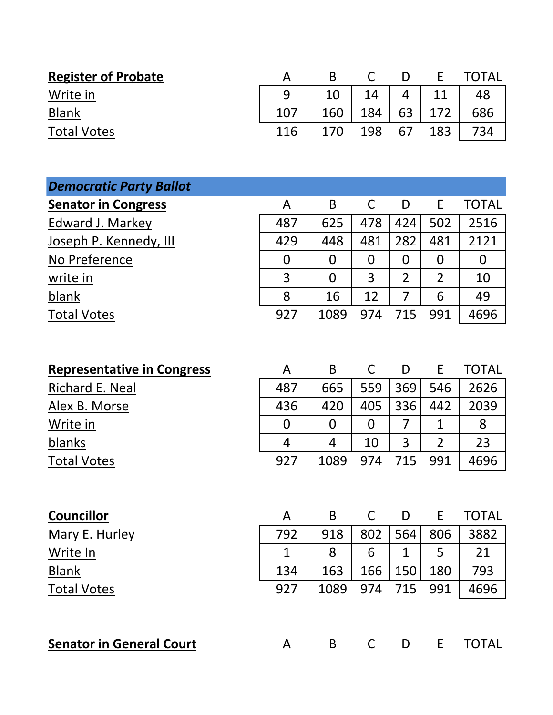| <b>Register of Probate</b> |     | B   |     |    |     | <b>TOTAL</b> |
|----------------------------|-----|-----|-----|----|-----|--------------|
| Write in                   |     | 10  | 14  | 4  |     | 48           |
| <b>Blank</b>               | 107 | 160 | 184 | 63 | 172 | 686          |
| <b>Total Votes</b>         | 116 | 170 | 198 | 67 | 183 | 734          |

| <b>Democratic Party Ballot</b> |     |      |     |                |                |       |
|--------------------------------|-----|------|-----|----------------|----------------|-------|
| <b>Senator in Congress</b>     | A   | Β    |     | D              |                | TOTAL |
| <b>Edward J. Markey</b>        | 487 | 625  | 478 | 424            | 502            | 2516  |
| Joseph P. Kennedy, III         | 429 | 448  | 481 | 282            | 481            | 2121  |
| No Preference                  | 0   | 0    | 0   | 0              | 0              |       |
| write in                       | 3   | 0    | 3   | $\overline{2}$ | $\overline{2}$ | 10    |
| blank                          | 8   | 16   | 12  | 7              | 6              | 49    |
| <b>Total Votes</b>             | 927 | 1089 | 974 | 715            | 991            | 4696  |

| <b>Representative in Congress</b> | A   | B    | C   | D   | E              | <b>TOTAL</b> |
|-----------------------------------|-----|------|-----|-----|----------------|--------------|
| Richard E. Neal                   | 487 | 665  | 559 | 369 | 546            | 2626         |
| Alex B. Morse                     | 436 | 420  | 405 | 336 | 442            | 2039         |
| Write in                          | 0   | 0    | 0   | 7   | 1              | 8            |
| blanks                            | 4   | 4    | 10  | 3   | $\overline{2}$ | 23           |
| <b>Total Votes</b>                | 927 | 1089 | 974 | 715 | 991            | 4696         |
|                                   |     |      |     |     |                |              |
| <b>Councillor</b>                 | A   | B    | C   | D   | E              | <b>TOTAL</b> |
| Mary E. Hurley                    | 792 | 918  | 802 | 564 | 806            | 3882         |
| Write In                          | 1   | 8    | 6   | 1   | 5              | 21           |
| <b>Blank</b>                      | 134 | 163  | 166 | 150 | 180            | 793          |
| <b>Total Votes</b>                | 927 | 1089 | 974 | 715 | 991            | 4696         |

| Court |  |  | A B C D E TOTAL |
|-------|--|--|-----------------|
|       |  |  |                 |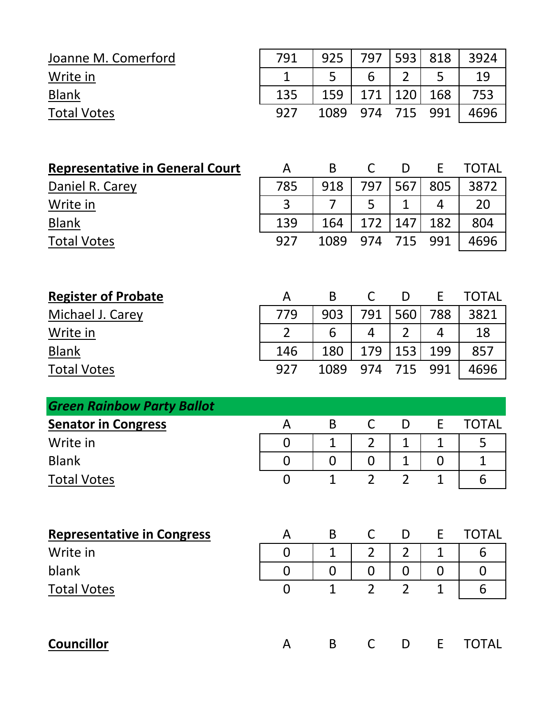| Joanne M. Comerford | 791 | 925  | 797 | 593 | 818 | 3924 |
|---------------------|-----|------|-----|-----|-----|------|
| Write in            |     |      |     | ົ   |     | 19   |
| <b>Blank</b>        | 135 | 159  | 171 | 120 | 168 | 753  |
| <b>Total Votes</b>  | 927 | 1089 | 974 | 715 | 991 | 4696 |

| <b>Representative in General Court</b> | A              | B              | C              | D              | E              | <b>TOTAL</b> |
|----------------------------------------|----------------|----------------|----------------|----------------|----------------|--------------|
| Daniel R. Carey                        | 785            | 918            | 797            | 567            | 805            | 3872         |
| Write in                               | 3              | 7              | 5              | $\mathbf{1}$   | 4              | 20           |
| <b>Blank</b>                           | 139            | 164            | 172            | 147            | 182            | 804          |
| <b>Total Votes</b>                     | 927            | 1089           | 974            | 715            | 991            | 4696         |
|                                        |                |                |                |                |                |              |
|                                        |                |                |                |                |                |              |
| <b>Register of Probate</b>             | A              | B              | C              | D              | E              | <b>TOTAL</b> |
| Michael J. Carey                       | 779            | 903            | 791            | 560            | 788            | 3821         |
| Write in                               | $\overline{2}$ | 6              | 4              | $\overline{2}$ | 4              | 18           |
| <b>Blank</b>                           | 146            | 180            | 179            | 153            | 199            | 857          |
| <b>Total Votes</b>                     | 927            | 1089           | 974            | 715            | 991            | 4696         |
|                                        |                |                |                |                |                |              |
| <b>Green Rainbow Party Ballot</b>      |                |                |                |                |                |              |
| <b>Senator in Congress</b>             | A              | B              | C              | D              | E              | <b>TOTAL</b> |
| Write in                               | $\Omega$       | 1              | $\overline{2}$ | 1              | $\mathbf{1}$   | 5            |
| <b>Blank</b>                           | $\overline{0}$ | 0              | 0              | 1              | $\overline{0}$ | $\mathbf{1}$ |
| <b>Total Votes</b>                     | $\Omega$       | $\overline{1}$ | $\overline{2}$ | $\overline{2}$ | 1              | 6            |

| <b>Representative in Congress</b> | Α | B |                | D              | E           | TOTAL |
|-----------------------------------|---|---|----------------|----------------|-------------|-------|
| Write in                          | 0 |   |                |                | $\mathbf 1$ | b     |
| blank                             | 0 | 0 | 0              | 0              | 0           |       |
| <b>Total Votes</b>                | 0 |   | $\overline{2}$ | $\overline{2}$ | 1           | b     |
|                                   |   |   |                |                |             |       |
| <b>Councillor</b>                 |   | B |                | D              |             | TAL   |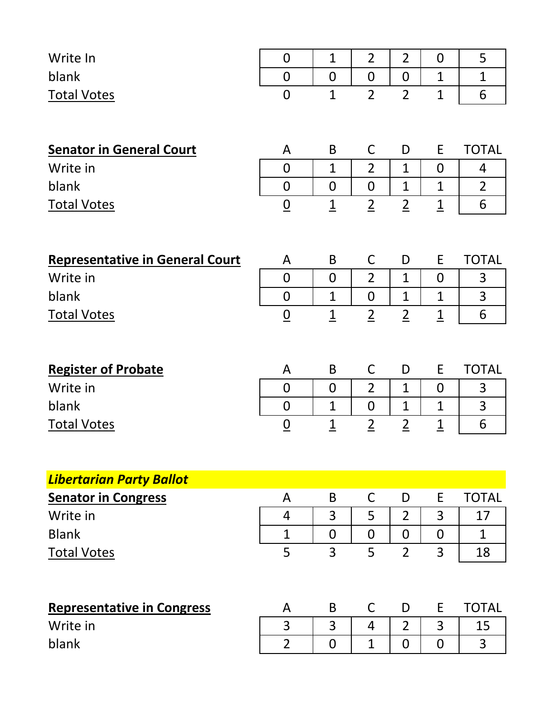| Write In                               | 0                | $\mathbf{1}$     | $\overline{2}$ | $\overline{2}$ | 0              | 5              |
|----------------------------------------|------------------|------------------|----------------|----------------|----------------|----------------|
| blank                                  | $\overline{0}$   | 0                | $\mathbf 0$    | $\mathbf 0$    | $\mathbf{1}$   | $\mathbf{1}$   |
| <b>Total Votes</b>                     | $\overline{0}$   | $\mathbf{1}$     | $\overline{2}$ | $\overline{2}$ | $\mathbf 1$    | 6              |
|                                        |                  |                  |                |                |                |                |
| <b>Senator in General Court</b>        | A                | B                | C              | D              | E              | <b>TOTAL</b>   |
| Write in                               | $\overline{0}$   | $\mathbf{1}$     | $\overline{2}$ | $\mathbf{1}$   | 0              | $\overline{4}$ |
| blank                                  | $\overline{0}$   | $\boldsymbol{0}$ | $\mathbf 0$    | $\mathbf 1$    | $\mathbf 1$    | $\overline{2}$ |
| <b>Total Votes</b>                     | $\underline{0}$  | $\underline{1}$  | $\overline{2}$ | $\overline{2}$ | $\overline{1}$ | 6              |
|                                        |                  |                  |                |                |                |                |
| <b>Representative in General Court</b> | A                | B                | C              | D              | E              | <b>TOTAL</b>   |
| Write in                               | 0                | 0                | $\overline{2}$ | $\mathbf 1$    | 0              | 3              |
| blank                                  | $\boldsymbol{0}$ | $\mathbf{1}$     | $\mathbf 0$    | 1              | $\mathbf{1}$   | 3              |
| <b>Total Votes</b>                     | $\underline{0}$  | $\overline{1}$   | $\overline{2}$ | $\overline{2}$ | $\overline{1}$ | 6              |
|                                        |                  |                  |                |                |                |                |
| <b>Register of Probate</b>             | A                | B                | C              | D              | E              | <b>TOTAL</b>   |
| Write in                               | $\mathbf 0$      | 0                | $\overline{2}$ | $\mathbf{1}$   | 0              | 3              |
| blank                                  | $\overline{0}$   | $\mathbf{1}$     | $\mathbf 0$    | $\mathbf{1}$   | $\mathbf{1}$   | 3              |
| <b>Total Votes</b>                     | $\underline{0}$  | $\overline{1}$   | $\overline{2}$ | $\overline{2}$ | $\overline{1}$ | 6              |
|                                        |                  |                  |                |                |                |                |
| <b>Libertarian Party Ballot</b>        |                  |                  |                |                |                |                |
| <b>Senator in Congress</b>             | A                | B                | $\mathsf{C}$   | D              | E              | <b>TOTAL</b>   |
| Write in                               | 4                | 3                | 5              | $\overline{2}$ | 3              | 17             |
| <b>Blank</b>                           | $\mathbf{1}$     | 0                | $\mathbf 0$    | 0              | 0              | $\mathbf 1$    |
| <b>Total Votes</b>                     | 5                | 3                | 5              | $\overline{2}$ | 3              | 18             |
|                                        |                  |                  |                |                |                |                |
| <b>Representative in Congress</b>      | A                | B                | C              | D              | E              | <b>TOTAL</b>   |
| Write in                               | 3                | 3                | 4              | $\overline{2}$ | 3              | 15             |
| blank                                  | $\overline{2}$   | $\mathbf 0$      | $\mathbf{1}$   | $\mathbf 0$    | $\mathbf 0$    | 3              |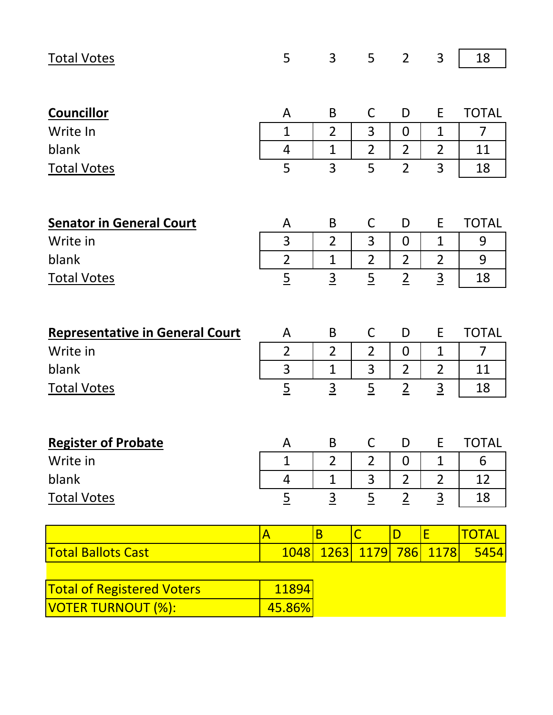| <b>Total Votes</b>                     | 5              | $\overline{3}$ | 5                       | $\overline{2}$ | 3              | 18             |
|----------------------------------------|----------------|----------------|-------------------------|----------------|----------------|----------------|
|                                        |                |                |                         |                |                |                |
|                                        |                |                |                         |                |                |                |
| <b>Councillor</b>                      | A              | B              | C                       | D              | E              | <b>TOTAL</b>   |
| Write In                               | $\mathbf{1}$   | $\overline{2}$ | 3                       | $\overline{0}$ | $\mathbf 1$    | $\overline{7}$ |
| blank                                  | 4              | $\mathbf{1}$   | $\overline{2}$          | $\overline{2}$ | $\overline{2}$ | 11             |
| <b>Total Votes</b>                     | 5              | 3              | 5                       | $\overline{2}$ | 3              | 18             |
|                                        |                |                |                         |                |                |                |
|                                        |                |                |                         |                |                |                |
| <b>Senator in General Court</b>        | A              | B              | C                       | D              | E              | <b>TOTAL</b>   |
| Write in                               | 3              | $\overline{2}$ | 3                       | $\overline{0}$ | 1              | 9              |
| blank                                  | $\overline{2}$ | $\mathbf{1}$   | $\overline{2}$          | $\overline{2}$ | $\overline{2}$ | 9              |
| <b>Total Votes</b>                     | $\overline{5}$ | $\overline{3}$ | $\overline{5}$          | $\overline{2}$ | $\overline{3}$ | 18             |
|                                        |                |                |                         |                |                |                |
|                                        |                |                |                         |                |                |                |
| <b>Representative in General Court</b> | A              | B              | C                       | D              | E              | <b>TOTAL</b>   |
| Write in                               | $\overline{2}$ | $\overline{2}$ | $\overline{2}$          | $\overline{0}$ | 1              | $\overline{7}$ |
| blank                                  | 3              | $\overline{1}$ | 3                       | $\overline{2}$ | $\overline{2}$ | 11             |
| <b>Total Votes</b>                     | $\overline{5}$ | $\overline{3}$ | $\overline{5}$          | $\overline{2}$ | $\overline{3}$ | 18             |
|                                        |                |                |                         |                |                |                |
|                                        |                |                |                         |                |                |                |
| <b>Register of Probate</b>             | A              | B              | C                       | D              | E              | <b>TOTAL</b>   |
| Write in                               | $\mathbf{1}$   | $\overline{2}$ | $\overline{2}$          | $\overline{0}$ | 1              | 6              |
| blank                                  | 4              | $\mathbf{1}$   | 3                       | $\overline{2}$ | $\overline{2}$ | 12             |
| <b>Total Votes</b>                     | $\overline{5}$ | $\overline{3}$ | $\overline{5}$          | $\overline{2}$ | $\overline{3}$ | 18             |
|                                        |                |                |                         |                |                |                |
|                                        | $\overline{A}$ | <b>B</b>       | $\overline{\mathsf{C}}$ | D              | E              | <b>TOTAL</b>   |
| <b>Total Ballots Cast</b>              | 1048           | 1263           | <b>1179</b>             | 786            | <b>1178</b>    | 5454           |
|                                        |                |                |                         |                |                |                |
| <b>Total of Registered Voters</b>      | 11894          |                |                         |                |                |                |
| <b>VOTER TURNOUT (%):</b>              | 45.86%         |                |                         |                |                |                |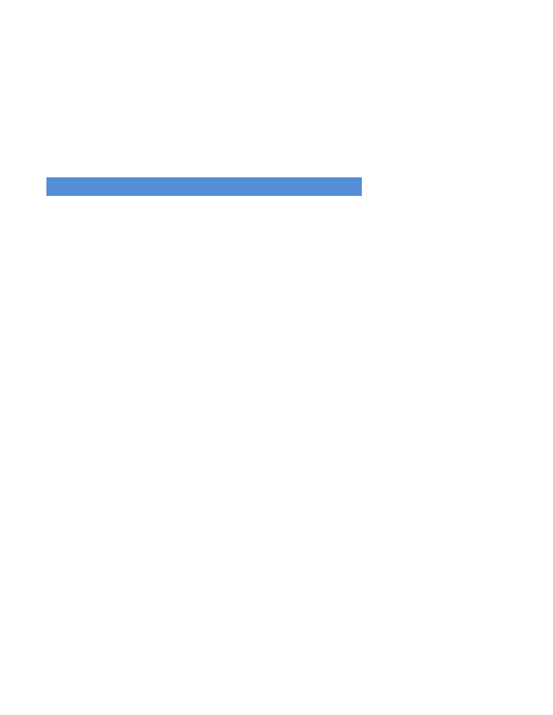